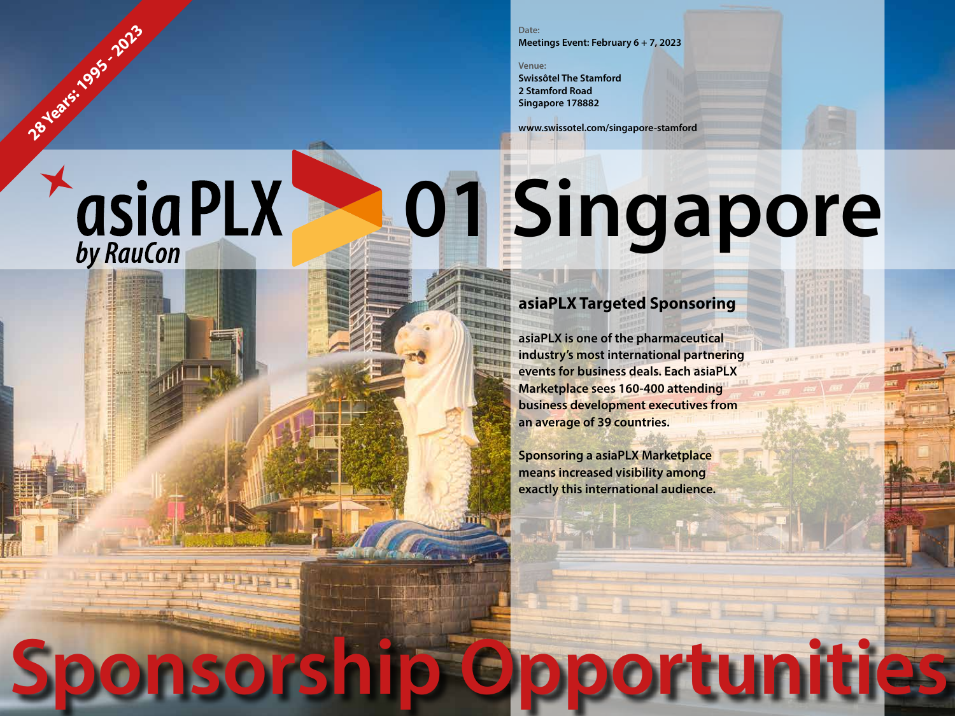### **Date: Meetings Event: February 6 + 7, 2023**

**Venue:**

**28 Years: 1995 - 2023** 

**asiaPLX** 

**Swissôtel The Stamford 2 Stamford Road Singapore 178882**

**www.swissotel.com/singapore-stamford**

# **01 Singapore**

**Sponsorship Opportunities**

# **asiaPLX Targeted Sponsoring**

**asiaPLX is one of the pharmaceutical industry's most international partnering events for business deals. Each asiaPLX Marketplace sees 160-400 attending business development executives from an average of 39 countries.**

**Sponsoring a asiaPLX Marketplace means increased visibility among exactly this international audience.**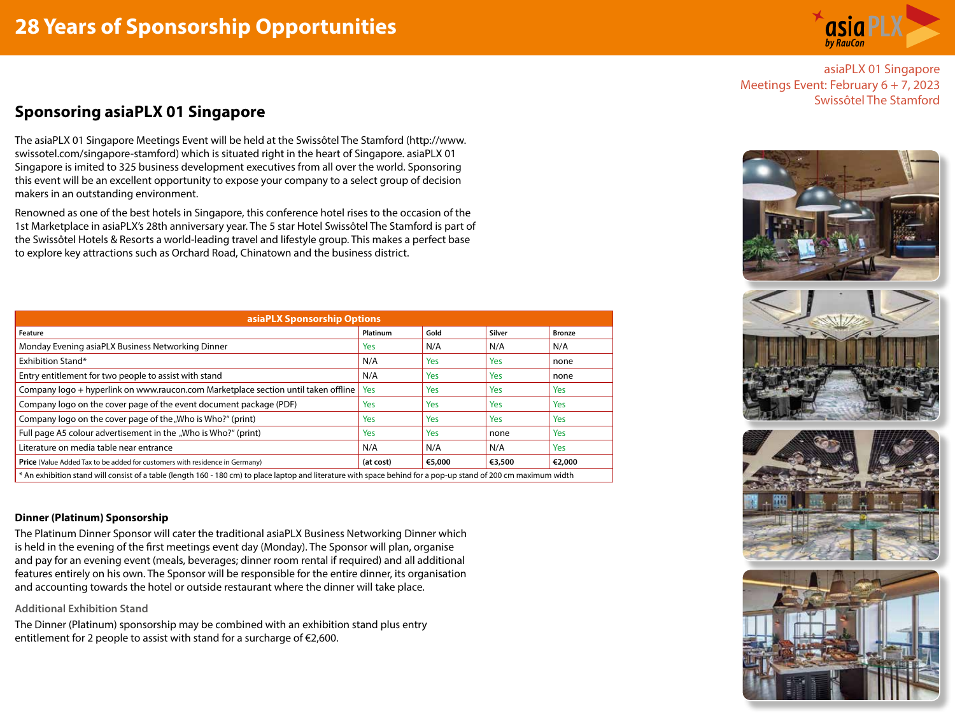

asiaPLX 01 Singapore Meetings Event: February 6 + 7, 2023 Swissôtel The Stamford

## **Sponsoring asiaPLX 01 Singapore**

The asiaPLX 01 Singapore Meetings Event will be held at the Swissôtel The Stamford (http://www. swissotel.com/singapore-stamford) which is situated right in the heart of Singapore. asiaPLX 01 Singapore is imited to 325 business development executives from all over the world. Sponsoring this event will be an excellent opportunity to expose your company to a select group of decision makers in an outstanding environment.

Renowned as one of the best hotels in Singapore, this conference hotel rises to the occasion of the 1st Marketplace in asiaPLX's 28th anniversary year. The 5 star Hotel Swissôtel The Stamford is part of the Swissôtel Hotels & Resorts a world-leading travel and lifestyle group. This makes a perfect base to explore key attractions such as Orchard Road, Chinatown and the business district.

| asiaPLX Sponsorship Options                                                                                                                                     |            |        |            |               |
|-----------------------------------------------------------------------------------------------------------------------------------------------------------------|------------|--------|------------|---------------|
| Feature                                                                                                                                                         | Platinum   | Gold   | Silver     | <b>Bronze</b> |
| Monday Evening asiaPLX Business Networking Dinner                                                                                                               | <b>Yes</b> | N/A    | N/A        | N/A           |
| Exhibition Stand*                                                                                                                                               | N/A        | Yes    | Yes        | none          |
| Entry entitlement for two people to assist with stand                                                                                                           | N/A        | Yes    | Yes        | none          |
| Company logo + hyperlink on www.raucon.com Marketplace section until taken offline                                                                              | Yes        | Yes    | Yes        | <b>Yes</b>    |
| Company logo on the cover page of the event document package (PDF)                                                                                              | <b>Yes</b> | Yes    | Yes        | Yes           |
| Company logo on the cover page of the "Who is Who?" (print)                                                                                                     | <b>Yes</b> | Yes    | <b>Yes</b> | Yes           |
| Full page A5 colour advertisement in the "Who is Who?" (print)                                                                                                  | <b>Yes</b> | Yes    | none       | Yes           |
| Literature on media table near entrance                                                                                                                         | N/A        | N/A    | N/A        | Yes           |
| Price (Value Added Tax to be added for customers with residence in Germany)                                                                                     | (at cost)  | €5,000 | €3,500     | €2,000        |
| * An exhibition stand will consist of a table (length 160 - 180 cm) to place laptop and literature with space behind for a pop-up stand of 200 cm maximum width |            |        |            |               |

## **Dinner (Platinum) Sponsorship**

The Platinum Dinner Sponsor will cater the traditional asiaPLX Business Networking Dinner which is held in the evening of the first meetings event day (Monday). The Sponsor will plan, organise and pay for an evening event (meals, beverages; dinner room rental if required) and all additional features entirely on his own. The Sponsor will be responsible for the entire dinner, its organisation and accounting towards the hotel or outside restaurant where the dinner will take place.

## **Additional Exhibition Stand**

The Dinner (Platinum) sponsorship may be combined with an exhibition stand plus entry entitlement for 2 people to assist with stand for a surcharge of  $\epsilon$ 2,600.